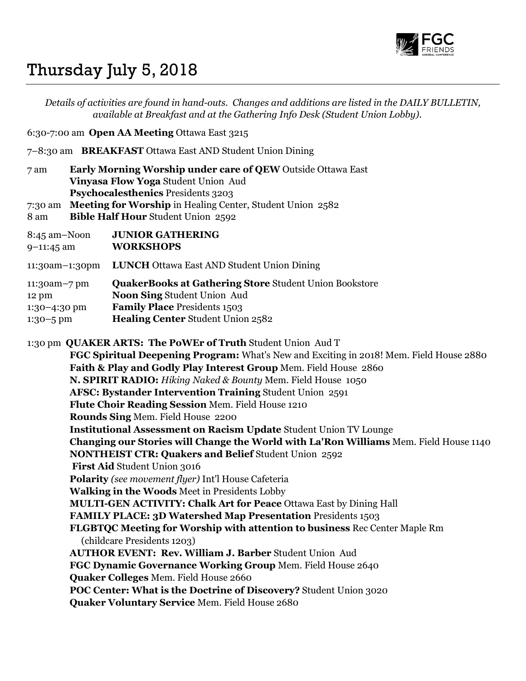

## Thursday July 5, 2018

Details of activities are found in hand-outs. Changes and additions are listed in the DAILY BULLETIN, available at Breakfast and at the Gathering Info Desk (Student Union Lobby).

6:30-7:00 am Open AA Meeting Ottawa East 3215

7–8:30 am BREAKFAST Ottawa East AND Student Union Dining

7 am Early Morning Worship under care of QEW Outside Ottawa East Vinyasa Flow Yoga Student Union Aud Psychocalesthenics Presidents 3203

7:30 am Meeting for Worship in Healing Center, Student Union 2582

8 am Bible Half Hour Student Union 2592

| 8:45 am-Noon    | <b>JUNIOR GATHERING</b>                                       |
|-----------------|---------------------------------------------------------------|
| $9-11:45$ am    | <b>WORKSHOPS</b>                                              |
| 11:30am-1:30pm  | <b>LUNCH</b> Ottawa East AND Student Union Dining             |
| $11:30am - 7pm$ | <b>QuakerBooks at Gathering Store Student Union Bookstore</b> |
| $12 \text{ pm}$ | Noon Sing Student Union Aud                                   |
| $1:30-4:30$ pm  | <b>Family Place Presidents 1503</b>                           |
| $1:30-5$ pm     | Healing Center Student Union 2582                             |

1:30 pm QUAKER ARTS: The PoWEr of Truth Student Union Aud T

FGC Spiritual Deepening Program: What's New and Exciting in 2018! Mem. Field House 2880 Faith & Play and Godly Play Interest Group Mem. Field House 2860 N. SPIRIT RADIO: Hiking Naked & Bounty Mem. Field House 1050 AFSC: Bystander Intervention Training Student Union 2591 Flute Choir Reading Session Mem. Field House 1210 Rounds Sing Mem. Field House 2200 Institutional Assessment on Racism Update Student Union TV Lounge Changing our Stories will Change the World with La'Ron Williams Mem. Field House 1140 NONTHEIST CTR: Quakers and Belief Student Union 2592 First Aid Student Union 3016 Polarity (see movement flyer) Int'l House Cafeteria Walking in the Woods Meet in Presidents Lobby MULTI-GEN ACTIVITY: Chalk Art for Peace Ottawa East by Dining Hall FAMILY PLACE: 3D Watershed Map Presentation Presidents 1503 FLGBTQC Meeting for Worship with attention to business Rec Center Maple Rm (childcare Presidents 1203) AUTHOR EVENT: Rev. William J. Barber Student Union Aud FGC Dynamic Governance Working Group Mem. Field House 2640 Quaker Colleges Mem. Field House 2660 POC Center: What is the Doctrine of Discovery? Student Union 3020 Quaker Voluntary Service Mem. Field House 2680